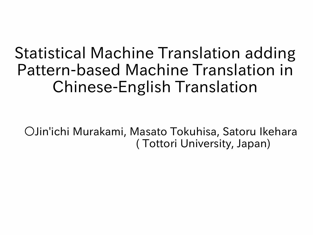# Statistical Machine Translation adding Pattern-based Machine Translation in Chinese-English Translation

○Jin'ichi Murakami, Masato Tokuhisa, Satoru Ikehara ( Tottori University, Japan)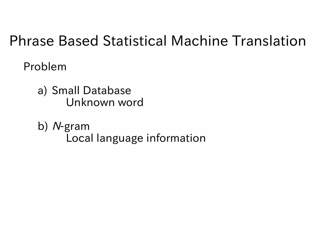#### Phrase Based Statistical Machine Translation

Problem

a) Small Database Unknown word

b) N-gram Local language information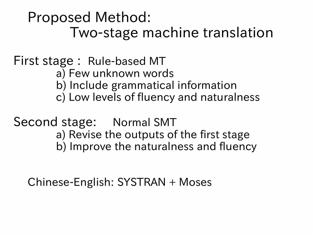Proposed Method: Two-stage machine translation

#### First stage : Rule-based MT a) Few unknown words b) Include grammatical information c) Low levels of fluency and naturalness

Second stage: Normal SMT a) Revise the outputs of the first stage b) Improve the naturalness and fluency

Chinese-English: SYSTRAN + Moses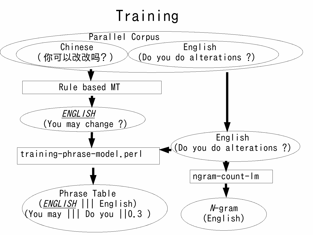# Training

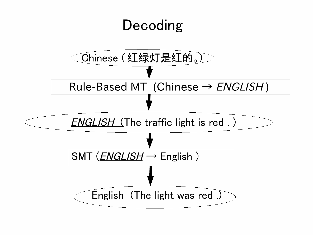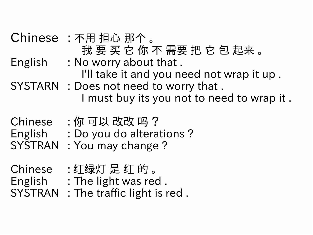Chinese : 不用 担心 那个 。 我要买它你不需要把它包起来。 English : No worry about that . I'll take it and you need not wrap it up . SYSTARN : Does not need to worry that . I must buy its you not to need to wrap it .  $Chinese$  : 你 可以 改改 吗 ? English : Do you do alterations ? SYSTRAN : You may change ?

Chinese : 红绿灯 是 红 的 。 English : The light was red . SYSTRAN : The traffic light is red .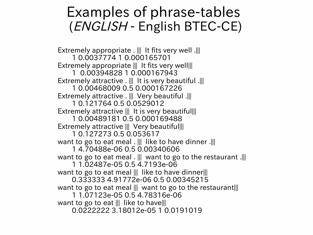#### Examples of phrase-tables (ENGLISH - English BTEC-CE)

Extremely appropriate .  $\parallel \parallel$  It fits very well . $\parallel \parallel$ 1 0.0037774 1 0.000165701 Extremely appropriate  $\| \cdot \|$  it fits very well 1 0.00394828 1 0.000167943 Extremely attractive .  $\parallel\parallel$  It is very beautiful . $\parallel\parallel$  1 0.00468009 0.5 0.000167226 Extremely attractive . ||| Very beautiful .||| 1 0.121764 0.5 0.0529012 Extremely attractive ||| It is very beautiful||| 1 0.00489181 0.5 0.000169488 Extremely attractive ||| Very beautiful||| 1 0.127273 0.5 0.053617 want to go to eat meal .  $\parallel\parallel$  like to have dinner . $\parallel\parallel$  1 4.70488e-06 0.5 0.00340606 want to go to eat meal . ||| want to go to the restaurant .||| 1 1.02487e-05 0.5 4.7193e-06 want to go to eat meal ||| like to have dinner||| 0.333333 4.91772e-06 0.5 0.00345215 want to go to eat meal ||| want to go to the restaurant||| 1 1.07123e-05 0.5 4.78316e-06 want to go to eat ||| like to have||| 0.0222222 3.18012e-05 1 0.0191019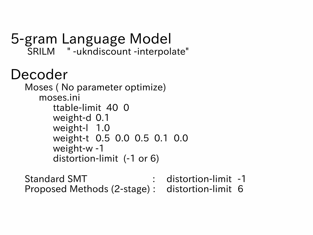```
5-gram Language Model
SRILM " -ukndiscount -interpolate"
```
## Decoder

```
Moses ( No parameter optimize)
 moses.ini
    ttable-limit 40 0 
    weight-d 0.1 
    weight-l 1.0 
    weight-t 0.5 0.0 0.5 0.1 0.0 
    weight-w -1 
    distortion-limit (-1 or 6)
```
Standard SMT : distortion-limit -1 Proposed Methods (2-stage) : distortion-limit 6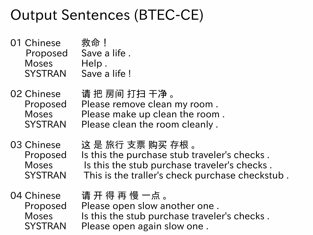## Output Sentences (BTEC-CE)

01 Chinese 救命 ! Proposed Save a life . Moses Help. SYSTRAN Save a life !

02 Chinese 请 把 房间 打扫 干净 。 Proposed Please remove clean my room . Moses Please make up clean the room . SYSTRAN Please clean the room cleanly.

03 Chinese 这 是 旅行 支票 购买 存根。 Proposed Is this the purchase stub traveler's checks . Moses Is this the stub purchase traveler's checks. SYSTRAN This is the traller's check purchase checkstub .

04 Chinese 请 开 得 再 慢 一点 。 Proposed Please open slow another one . Moses Is this the stub purchase traveler's checks. SYSTRAN Please open again slow one.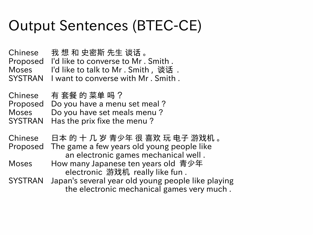# Output Sentences (BTEC-CE)

Chinese 我 想 和 史密斯 先生 谈话 。 Proposed I'd like to converse to Mr . Smith . Moses I'd like to talk to Mr . Smith, 谈话. SYSTRAN I want to converse with Mr . Smith .

 $\mathsf{Chinese}$  有 套餐 的 菜单 吗 ? Proposed Do you have a menu set meal ? Moses Do you have set meals menu ? SYSTRAN Has the prix fixe the menu ?

Chinese 日本 的 十 几 岁 青少年 很 喜欢 玩 电子 游戏机 。 Proposed The game a few years old young people like an electronic games mechanical well . Moses How many Japanese ten years old 青少年

electronic 游戏机 really like fun.

SYSTRAN Japan's several year old young people like playing the electronic mechanical games very much .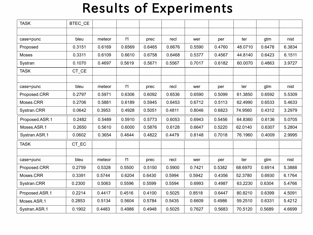#### Results of Experiments

| <b>TASK</b>    | BTEC_CE |        |        |        |        |        |        |         |        |        |
|----------------|---------|--------|--------|--------|--------|--------|--------|---------|--------|--------|
|                |         |        |        |        |        |        |        |         |        |        |
| case+punc      | bleu    | meteor | f1     | prec   | recl   | wer    | per    | ter     | gtm    | nist   |
| Proposed       | 0.3151  | 0.6169 | 0.6569 | 0.6465 | 0.6676 | 0.5590 | 0.4760 | 48.0710 | 0.6478 | 6.3834 |
| Moses          | 0.3311  | 0.6109 | 0.6610 | 0.6758 | 0.6468 | 0.5377 | 0.4567 | 44.8140 | 0.6423 | 6.1511 |
| Systran        | 0.1070  | 0.4697 | 0.5619 | 0.5671 | 0.5567 | 0.7017 | 0.6182 | 60.0070 | 0.4863 | 3.9727 |
| <b>TASK</b>    | CT_CE   |        |        |        |        |        |        |         |        |        |
|                |         |        |        |        |        |        |        |         |        |        |
| case+punc      | bleu    | meteor | f1     | prec   | recl   | wer    | per    | ter     | gtm    | nist   |
| Proposed.CRR   | 0.2797  | 0.5971 | 0.6306 | 0.6092 | 0.6536 | 0.6590 | 0.5099 | 61.3850 | 0.6592 | 5.5309 |
| Moses.CRR      | 0.2706  | 0.5881 | 0.6189 | 0.5945 | 0.6453 | 0.6712 | 0.5113 | 62.4990 | 0.6533 | 5.4633 |
| Systran.CRR    | 0.0642  | 0.3953 | 0.4928 | 0.5051 | 0.4811 | 0.8046 | 0.6823 | 74.9560 | 0.4312 | 3.2979 |
| Proposed.ASR.1 | 0.2482  | 0.5489 | 0.5910 | 0.5773 | 0.6053 | 0.6943 | 0.5456 | 64.8360 | 0.6136 | 5.0705 |
| Moses.ASR.1    | 0.2650  | 0.5610 | 0.6000 | 0.5876 | 0.6128 | 0.6647 | 0.5220 | 62.0140 | 0.6307 | 5.2804 |
| Systran.ASR.1  | 0.0602  | 0.3654 | 0.4644 | 0.4822 | 0.4479 | 0.8148 | 0.7018 | 76.1960 | 0.4009 | 2.9995 |
| <b>TASK</b>    | CT_EC   |        |        |        |        |        |        |         |        |        |
|                |         |        |        |        |        |        |        |         |        |        |
| case+punc      | bleu    | meteor | f1     | prec   | recl   | wer    | per    | ter     | gtm    | nist   |
| Proposed.CRR   | 0.2759  | 0.5328 | 0.5500 | 0.5150 | 0.5900 | 0.7421 | 0.5382 | 68.6970 | 0.6914 | 5.3888 |
| Moses.CRR      | 0.3391  | 0.5744 | 0.6204 | 0.6430 | 0.5994 | 0.5942 | 0.4356 | 52.3780 | 0.6930 | 6.1764 |
| Systran.CRR    | 0.2300  | 0.5063 | 0.5596 | 0.5599 | 0.5594 | 0.6993 | 0.4987 | 63.2230 | 0.6304 | 5.4766 |
| Proposed.ASR.1 | 0.2214  | 0.4417 | 0.4516 | 0.4100 | 0.5025 | 0.8518 | 0.6447 | 80.8210 | 0.6399 | 4.5091 |
| Moses.ASR.1    | 0.2853  | 0.5134 | 0.5604 | 0.5784 | 0.5435 | 0.6609 | 0.4986 | 59.2510 | 0.6331 | 5.4212 |
| Systran.ASR.1  | 0.1902  | 0.4483 | 0.4986 | 0.4948 | 0.5025 | 0.7627 | 0.5683 | 70.5120 | 0.5689 | 4.6699 |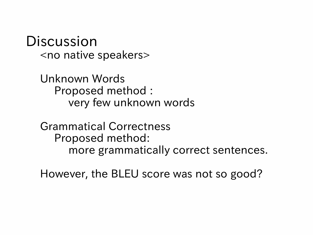Discussion <no native speakers>

> Unknown Words Proposed method : very few unknown words

Grammatical Correctness Proposed method: more grammatically correct sentences.

However, the BLEU score was not so good?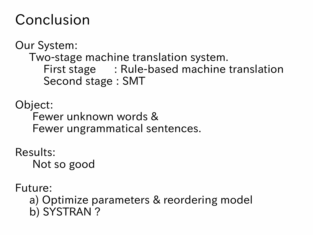## Conclusion

Our System: Two-stage machine translation system. First stage : Rule-based machine translation Second stage : SMT

Object: Fewer unknown words & Fewer ungrammatical sentences.

Results: Not so good

Future:

a) Optimize parameters & reordering model b) SYSTRAN ?